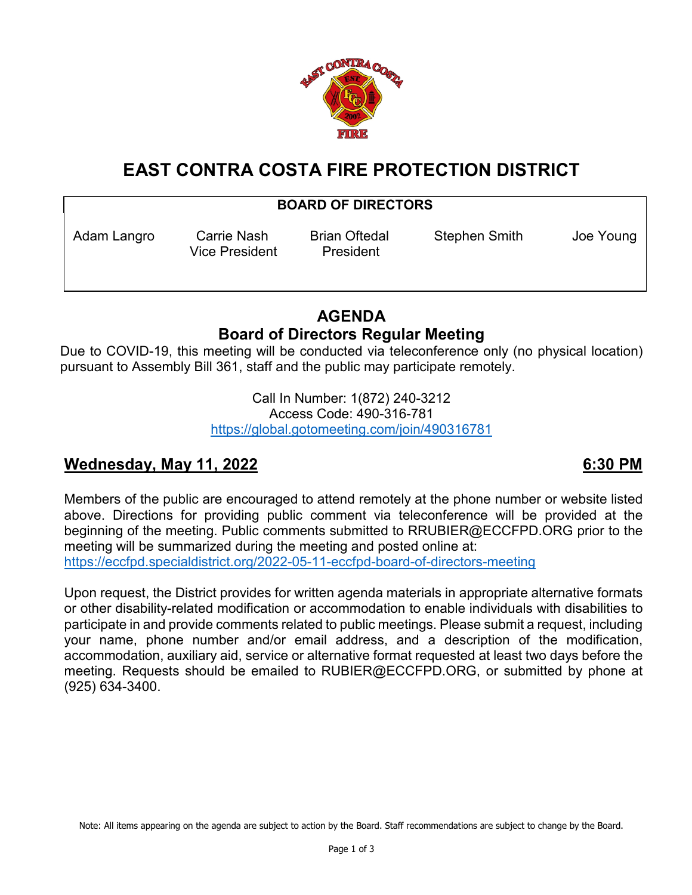

# **EAST CONTRA COSTA FIRE PROTECTION DISTRICT**

### **BOARD OF DIRECTORS**

Vice President President

Adam Langro Carrie Nash Brian Oftedal Stephen Smith Joe Young

## **AGENDA Board of Directors Regular Meeting**

Due to COVID-19, this meeting will be conducted via teleconference only (no physical location) pursuant to Assembly Bill 361, staff and the public may participate remotely.

> Call In Number: 1(872) 240-3212 Access Code: 490-316-781 <https://global.gotomeeting.com/join/490316781>

# **Wednesday, May 11, 2022 6:30 PM**

Members of the public are encouraged to attend remotely at the phone number or website listed above. Directions for providing public comment via teleconference will be provided at the beginning of the meeting. Public comments submitted to RRUBIER@ECCFPD.ORG prior to the meeting will be summarized during the meeting and posted online at: <https://eccfpd.specialdistrict.org/2022-05-11-eccfpd-board-of-directors-meeting>

Upon request, the District provides for written agenda materials in appropriate alternative formats or other disability-related modification or accommodation to enable individuals with disabilities to participate in and provide comments related to public meetings. Please submit a request, including your name, phone number and/or email address, and a description of the modification, accommodation, auxiliary aid, service or alternative format requested at least two days before the meeting. Requests should be emailed to RUBIER@ECCFPD.ORG, or submitted by phone at (925) 634-3400.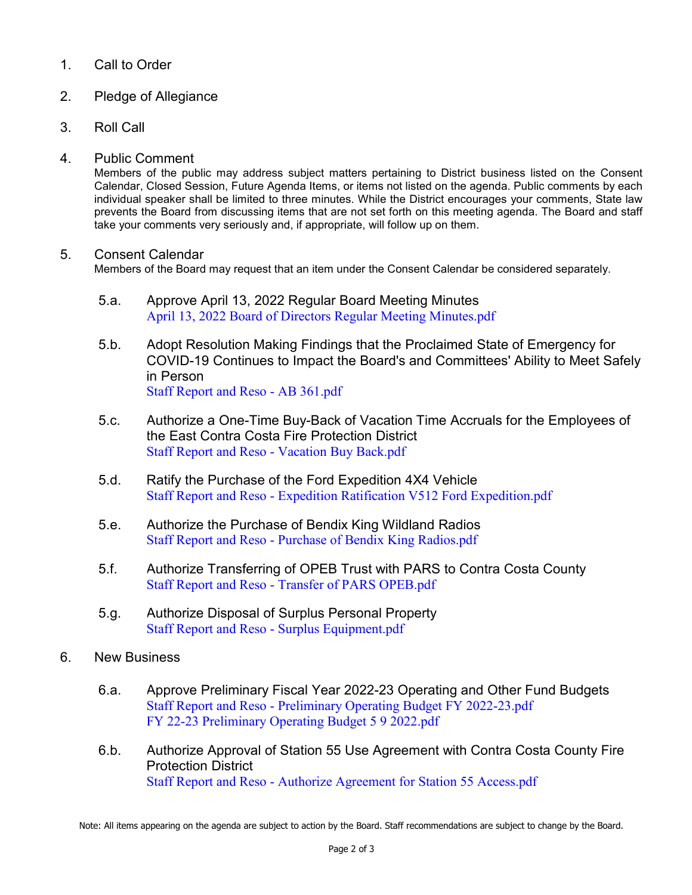### 1. Call to Order

- 2. Pledge of Allegiance
- 3. Roll Call
- 4. Public Comment

Members of the public may address subject matters pertaining to District business listed on the Consent Calendar, Closed Session, Future Agenda Items, or items not listed on the agenda. Public comments by each individual speaker shall be limited to three minutes. While the District encourages your comments, State law prevents the Board from discussing items that are not set forth on this meeting agenda. The Board and staff take your comments very seriously and, if appropriate, will follow up on them.

### 5. Consent Calendar

Members of the Board may request that an item under the Consent Calendar be considered separately.

- 5.a. Approve April 13, 2022 Regular Board Meeting Minutes [April 13, 2022 Board of Directors Regular Meeting Minutes.pdf](https://legistarweb-production.s3.amazonaws.com/uploads/attachment/pdf/1369960/April_13__2022_Board_of_Directors_Regular_Meeting_Minutes.pdf)
- 5.b. Adopt Resolution Making Findings that the Proclaimed State of Emergency for COVID-19 Continues to Impact the Board's and Committees' Ability to Meet Safely in Person [Staff Report and Reso -](https://legistarweb-production.s3.amazonaws.com/uploads/attachment/pdf/1371425/Staff_Report_and_Reso_-_AB_361.pdf) AB 361.pdf
- 5.c. Authorize a One-Time Buy-Back of Vacation Time Accruals for the Employees of the East Contra Costa Fire Protection District [Staff Report and Reso -](https://legistarweb-production.s3.amazonaws.com/uploads/attachment/pdf/1371504/Staff_Report_and_Reso_-_Vacation_Buy_Back.pdf) Vacation Buy Back.pdf
- 5.d. Ratify the Purchase of the Ford Expedition 4X4 Vehicle Staff Report and Reso - [Expedition Ratification V512 Ford Expedition.pdf](https://legistarweb-production.s3.amazonaws.com/uploads/attachment/pdf/1371506/Staff_Report_and_Reso_-_Expedition_Ratification_V512_Ford_Expedition.pdf)
- 5.e. Authorize the Purchase of Bendix King Wildland Radios Staff Report and Reso - [Purchase of Bendix King Radios.pdf](https://legistarweb-production.s3.amazonaws.com/uploads/attachment/pdf/1370077/Staff_Report_and_Reso_-_Purchase_of_Bendix_King_Radios.pdf)
- 5.f. Authorize Transferring of OPEB Trust with PARS to Contra Costa County Staff Report and Reso - [Transfer of PARS OPEB.pdf](https://legistarweb-production.s3.amazonaws.com/uploads/attachment/pdf/1370363/Staff_Report_and_Reso_-_Transfer_of_PARS_OPEB.pdf)
- 5.g. Authorize Disposal of Surplus Personal Property [Staff Report and Reso -](https://legistarweb-production.s3.amazonaws.com/uploads/attachment/pdf/1371497/Staff_Report_and_Reso_-_Surplus_Equipment.pdf) Surplus Equipment.pdf
- 6. New Business
	- 6.a. Approve Preliminary Fiscal Year 2022-23 Operating and Other Fund Budgets Staff Report and Reso - [Preliminary Operating Budget FY 2022-23.pdf](https://legistarweb-production.s3.amazonaws.com/uploads/attachment/pdf/1371498/Staff_Report_and_Reso_-_Preliminary_Operating_Budget_FY_2022-23.pdf) [FY 22-23 Preliminary Operating Budget 5 9 2022.pdf](https://legistarweb-production.s3.amazonaws.com/uploads/attachment/pdf/1371499/FY_22-23_Preliminary_Operating_Budget_5_9_2022.pdf)
	- 6.b. Authorize Approval of Station 55 Use Agreement with Contra Costa County Fire Protection District Staff Report and Reso - [Authorize Agreement for Station 55 Access.pdf](https://legistarweb-production.s3.amazonaws.com/uploads/attachment/pdf/1369864/Staff_Report_and_Reso_-_Authorize_Agreement_for_Station_55_Access.pdf)

Note: All items appearing on the agenda are subject to action by the Board. Staff recommendations are subject to change by the Board.